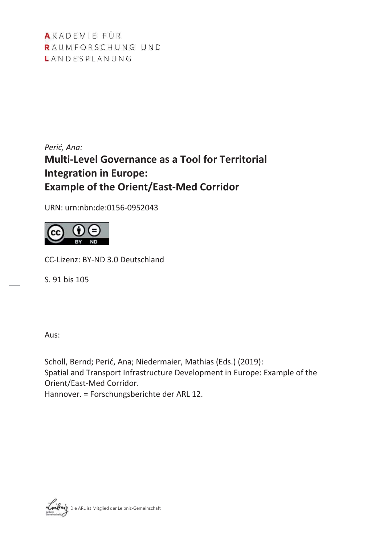AKADEMIE FÜR RAUMFORSCHUNG UND LANDESPLANUNG

*Perić, Ana:* **Multi-Level Governance as a Tool for Territorial Integration in Europe: Example of the Orient/East-Med Corridor** 

URN: urn:nbn:de:0156-0952043



CC-Lizenz: BY-ND 3.0 Deutschland

S. 91 bis 105

Aus:

Scholl, Bernd; Perić, Ana; Niedermaier, Mathias (Eds.) (2019): Spatial and Transport Infrastructure Development in Europe: Example of the Orient/East-Med Corridor. Hannover. = Forschungsberichte der ARL 12.

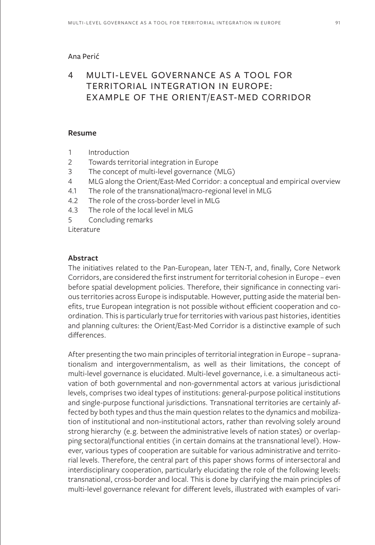### Ana Perić

# 4 MULTI-LEVEL GOVERNANCE AS A TOOL FOR TERRITORIAL INTEGRATION IN EUROPE: EXAMPLE OF THE ORIENT/EAST-MED CORRIDOR

### **Resume**

- 1 Introduction
- 2 Towards territorial integration in Europe
- 3 The concept of multi-level governance (MLG)
- 4 MLG along the Orient/East-Med Corridor: a conceptual and empirical overview
- 4.1 The role of the transnational/macro-regional level in MLG
- 4.2 The role of the cross-border level in MLG
- 4.3 The role of the local level in MLG
- 5 Concluding remarks
- Literature

### **Abstract**

The initiatives related to the Pan-European, later TEN-T, and, finally, Core Network Corridors, are considered the first instrument for territorial cohesion in Europe – even before spatial development policies. Therefore, their significance in connecting various territories across Europe is indisputable. However, putting aside the material benefits, true European integration is not possible without efficient cooperation and coordination. This is particularly true for territories with various past histories, identities and planning cultures: the Orient/East-Med Corridor is a distinctive example of such differences.

After presenting the two main principles of territorial integration in Europe – supranationalism and intergovernmentalism, as well as their limitations, the concept of multi-level governance is elucidated. Multi-level governance, i.e. a simultaneous activation of both governmental and non-governmental actors at various jurisdictional levels, comprises two ideal types of institutions: general-purpose political institutions and single-purpose functional jurisdictions. Transnational territories are certainly affected by both types and thus the main question relates to the dynamics and mobilization of institutional and non-institutional actors, rather than revolving solely around strong hierarchy (e.g. between the administrative levels of nation states) or overlapping sectoral/functional entities (in certain domains at the transnational level). However, various types of cooperation are suitable for various administrative and territorial levels. Therefore, the central part of this paper shows forms of intersectoral and interdisciplinary cooperation, particularly elucidating the role of the following levels: transnational, cross-border and local. This is done by clarifying the main principles of multi-level governance relevant for different levels, illustrated with examples of vari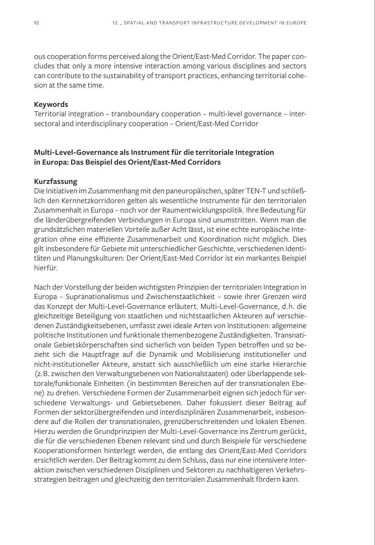ous cooperation forms perceived along the Orient/East-Med Corridor. The paper concludes that only a more intensive interaction among various disciplines and sectors can contribute to the sustainability of transport practices, enhancing territorial cohesion at the same time.

### **Keywords**

Territorial integration – transboundary cooperation – multi-level governance – intersectoral and interdisciplinary cooperation – Orient/East-Med Corridor

### **Multi-Level-Governance als Instrument für die territoriale Integration in Europa: Das Beispiel des Orient/East-Med Corridors**

#### **Kurzfassung**

Die Initiativen im Zusammenhang mit den paneuropäischen, später TEN-T und schließlich den Kernnetzkorridoren gelten als wesentliche Instrumente für den territorialen Zusammenhalt in Europa – noch vor der Raumentwicklungspolitik. Ihre Bedeutung für die länderübergreifenden Verbindungen in Europa sind unumstritten. Wenn man die grundsätzlichen materiellen Vorteile außer Acht lässt, ist eine echte europäische Integration ohne eine effiziente Zusammenarbeit und Koordination nicht möglich. Dies gilt insbesondere für Gebiete mit unterschiedlicher Geschichte, verschiedenen Identitäten und Planungskulturen: Der Orient/East-Med Corridor ist ein markantes Beispiel hierfür.

Nach der Vorstellung der beiden wichtigsten Prinzipien der territorialen Integration in Europa – Supranationalismus und Zwischenstaatlichkeit – sowie ihrer Grenzen wird das Konzept der Multi-Level-Governance erläutert. Multi-Level-Governance, d.h. die gleichzeitige Beteiligung von staatlichen und nichtstaatlichen Akteuren auf verschiedenen Zuständigkeitsebenen, umfasst zwei ideale Arten von Institutionen: allgemeine politische Institutionen und funktionale themenbezogene Zuständigkeiten. Transnationale Gebietskörperschaften sind sicherlich von beiden Typen betroffen und so bezieht sich die Hauptfrage auf die Dynamik und Mobilisierung institutioneller und nicht-institutioneller Akteure, anstatt sich ausschließlich um eine starke Hierarchie (z.B. zwischen den Verwaltungsebenen von Nationalstaaten) oder überlappende sektorale/funktionale Einheiten (in bestimmten Bereichen auf der transnationalen Ebene) zu drehen. Verschiedene Formen der Zusammenarbeit eignen sich jedoch für verschiedene Verwaltungs- und Gebietsebenen. Daher fokussiert dieser Beitrag auf Formen der sektorübergreifenden und interdisziplinären Zusammenarbeit, insbesondere auf die Rollen der transnationalen, grenzüberschreitenden und lokalen Ebenen. Hierzu werden die Grundprinzipien der Multi-Level-Governance ins Zentrum gerückt, die für die verschiedenen Ebenen relevant sind und durch Beispiele für verschiedene Kooperationsformen hinterlegt werden, die entlang des Orient/East-Med Corridors ersichtlich werden. Der Beitrag kommt zu dem Schluss, dass nur eine intensivere Interaktion zwischen verschiedenen Disziplinen und Sektoren zu nachhaltigeren Verkehrsstrategien beitragen und gleichzeitig den territorialen Zusammenhalt fördern kann.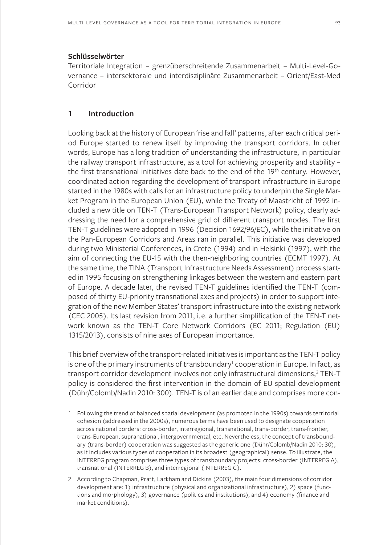#### **Schlüsselwörter**

Territoriale Integration – grenzüberschreitende Zusammenarbeit – Multi-Level-Governance – intersektorale und interdisziplinäre Zusammenarbeit – Orient/East-Med Corridor

### **1 Introduction**

Looking back at the history of European 'rise and fall' patterns, after each critical period Europe started to renew itself by improving the transport corridors. In other words, Europe has a long tradition of understanding the infrastructure, in particular the railway transport infrastructure, as a tool for achieving prosperity and stability – the first transnational initiatives date back to the end of the 19th century. However, coordinated action regarding the development of transport infrastructure in Europe started in the 1980s with calls for an infrastructure policy to underpin the Single Market Program in the European Union (EU), while the Treaty of Maastricht of 1992 included a new title on TEN-T (Trans-European Transport Network) policy, clearly addressing the need for a comprehensive grid of different transport modes. The first TEN-T guidelines were adopted in 1996 (Decision 1692/96/EC), while the initiative on the Pan-European Corridors and Areas ran in parallel. This initiative was developed during two Ministerial Conferences, in Crete (1994) and in Helsinki (1997), with the aim of connecting the EU-15 with the then-neighboring countries (ECMT 1997). At the same time, the TINA (Transport Infrastructure Needs Assessment) process started in 1995 focusing on strengthening linkages between the western and eastern part of Europe. A decade later, the revised TEN-T guidelines identified the TEN-T (composed of thirty EU-priority transnational axes and projects) in order to support integration of the new Member States' transport infrastructure into the existing network (CEC 2005). Its last revision from 2011, i.e. a further simplification of the TEN-T network known as the TEN-T Core Network Corridors (EC 2011; Regulation (EU) 1315/2013), consists of nine axes of European importance.

This brief overview of the transport-related initiatives is important as the TEN-T policy is one of the primary instruments of transboundary<sup>1</sup> cooperation in Europe. In fact, as transport corridor development involves not only infrastructural dimensions,<sup>2</sup> TEN-T policy is considered the first intervention in the domain of EU spatial development (Dühr/Colomb/Nadin 2010: 300). TEN-T is of an earlier date and comprises more con-

<sup>1</sup> Following the trend of balanced spatial development (as promoted in the 1990s) towards territorial cohesion (addressed in the 2000s), numerous terms have been used to designate cooperation across national borders: cross-border, interregional, transnational, trans-border, trans-frontier, trans-European, supranational, intergovernmental, etc. Nevertheless, the concept of transboundary (trans-border) cooperation was suggested as the generic one (Dühr/Colomb/Nadin 2010: 30), as it includes various types of cooperation in its broadest (geographical) sense. To illustrate, the INTERREG program comprises three types of transboundary projects: cross-border (INTERREG A), transnational (INTERREG B), and interregional (INTERREG C).

<sup>2</sup> According to Chapman, Pratt, Larkham and Dickins (2003), the main four dimensions of corridor development are: 1) infrastructure (physical and organizational infrastructure), 2) space (functions and morphology), 3) governance (politics and institutions), and 4) economy (finance and market conditions).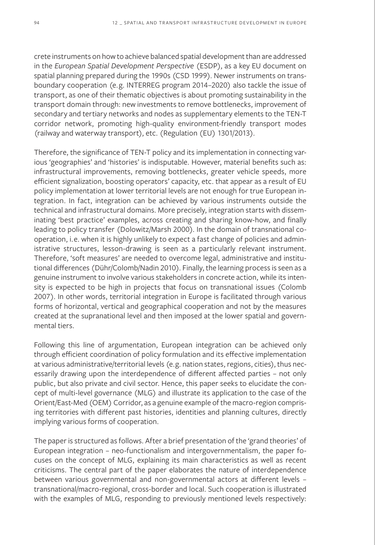crete instruments on how to achieve balanced spatial development than are addressed in the *European Spatial Development Perspective* (ESDP), as a key EU document on spatial planning prepared during the 1990s (CSD 1999). Newer instruments on transboundary cooperation (e.g. INTERREG program 2014–2020) also tackle the issue of transport, as one of their thematic objectives is about promoting sustainability in the transport domain through: new investments to remove bottlenecks, improvement of secondary and tertiary networks and nodes as supplementary elements to the TEN-T corridor network, promoting high-quality environment-friendly transport modes (railway and waterway transport), etc. (Regulation (EU) 1301/2013).

Therefore, the significance of TEN-T policy and its implementation in connecting various 'geographies' and 'histories' is indisputable. However, material benefits such as: infrastructural improvements, removing bottlenecks, greater vehicle speeds, more efficient signalization, boosting operators' capacity, etc. that appear as a result of EU policy implementation at lower territorial levels are not enough for true European integration. In fact, integration can be achieved by various instruments outside the technical and infrastructural domains. More precisely, integration starts with disseminating 'best practice' examples, across creating and sharing know-how, and finally leading to policy transfer (Dolowitz/Marsh 2000). In the domain of transnational cooperation, i.e. when it is highly unlikely to expect a fast change of policies and administrative structures, lesson-drawing is seen as a particularly relevant instrument. Therefore, 'soft measures' are needed to overcome legal, administrative and institutional differences (Dühr/Colomb/Nadin 2010). Finally, the learning process is seen as a genuine instrument to involve various stakeholders in concrete action, while its intensity is expected to be high in projects that focus on transnational issues (Colomb 2007). In other words, territorial integration in Europe is facilitated through various forms of horizontal, vertical and geographical cooperation and not by the measures created at the supranational level and then imposed at the lower spatial and governmental tiers.

Following this line of argumentation, European integration can be achieved only through efficient coordination of policy formulation and its effective implementation at various administrative/territorial levels (e.g. nation states, regions, cities), thus necessarily drawing upon the interdependence of different affected parties – not only public, but also private and civil sector. Hence, this paper seeks to elucidate the concept of multi-level governance (MLG) and illustrate its application to the case of the Orient/East-Med (OEM) Corridor, as a genuine example of the macro-region comprising territories with different past histories, identities and planning cultures, directly implying various forms of cooperation.

The paper is structured as follows. After a brief presentation of the 'grand theories' of European integration – neo-functionalism and intergovernmentalism, the paper focuses on the concept of MLG, explaining its main characteristics as well as recent criticisms. The central part of the paper elaborates the nature of interdependence between various governmental and non-governmental actors at different levels – transnational/macro-regional, cross-border and local. Such cooperation is illustrated with the examples of MLG, responding to previously mentioned levels respectively: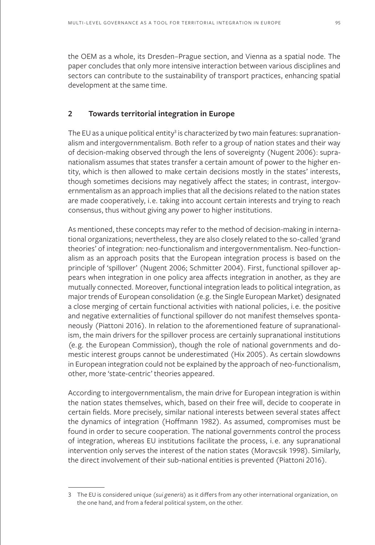the OEM as a whole, its Dresden–Prague section, and Vienna as a spatial node. The paper concludes that only more intensive interaction between various disciplines and sectors can contribute to the sustainability of transport practices, enhancing spatial development at the same time.

### **2 Towards territorial integration in Europe**

The EU as a unique political entity $^3$  is characterized by two main features: supranationalism and intergovernmentalism. Both refer to a group of nation states and their way of decision-making observed through the lens of sovereignty (Nugent 2006): supranationalism assumes that states transfer a certain amount of power to the higher entity, which is then allowed to make certain decisions mostly in the states' interests, though sometimes decisions may negatively affect the states; in contrast, intergovernmentalism as an approach implies that all the decisions related to the nation states are made cooperatively, i.e. taking into account certain interests and trying to reach consensus, thus without giving any power to higher institutions.

As mentioned, these concepts may refer to the method of decision-making in international organizations; nevertheless, they are also closely related to the so-called 'grand theories' of integration: neo-functionalism and intergovernmentalism. Neo-functionalism as an approach posits that the European integration process is based on the principle of 'spillover' (Nugent 2006; Schmitter 2004). First, functional spillover appears when integration in one policy area affects integration in another, as they are mutually connected. Moreover, functional integration leads to political integration, as major trends of European consolidation (e.g. the Single European Market) designated a close merging of certain functional activities with national policies, i.e. the positive and negative externalities of functional spillover do not manifest themselves spontaneously (Piattoni 2016). In relation to the aforementioned feature of supranationalism, the main drivers for the spillover process are certainly supranational institutions (e.g. the European Commission), though the role of national governments and domestic interest groups cannot be underestimated (Hix 2005). As certain slowdowns in European integration could not be explained by the approach of neo-functionalism, other, more 'state-centric' theories appeared.

According to intergovernmentalism, the main drive for European integration is within the nation states themselves, which, based on their free will, decide to cooperate in certain fields. More precisely, similar national interests between several states affect the dynamics of integration (Hoffmann 1982). As assumed, compromises must be found in order to secure cooperation. The national governments control the process of integration, whereas EU institutions facilitate the process, i. e. any supranational intervention only serves the interest of the nation states (Moravcsik 1998). Similarly, the direct involvement of their sub-national entities is prevented (Piattoni 2016).

<sup>3</sup> The EU is considered unique (*sui generis*) as it differs from any other international organization, on the one hand, and from a federal political system, on the other.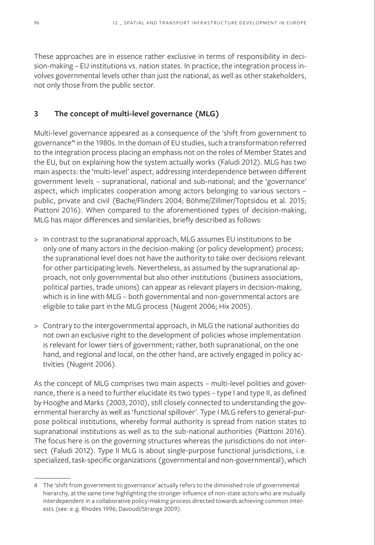These approaches are in essence rather exclusive in terms of responsibility in decision-making – EU institutions vs. nation states. In practice, the integration process involves governmental levels other than just the national, as well as other stakeholders, not only those from the public sector.

# **3 The concept of multi-level governance (MLG)**

Multi-level governance appeared as a consequence of the 'shift from government to governance'4 in the 1980s. In the domain of EU studies, such a transformation referred to the integration process placing an emphasis not on the roles of Member States and the EU, but on explaining how the system actually works (Faludi 2012). MLG has two main aspects: the 'multi-level' aspect, addressing interdependence between different government levels – supranational, national and sub-national; and the 'governance' aspect, which implicates cooperation among actors belonging to various sectors – public, private and civil (Bache/Flinders 2004; Böhme/Zillmer/Toptsidou et al. 2015; Piattoni 2016). When compared to the aforementioned types of decision-making, MLG has major differences and similarities, briefly described as follows:

- > In contrast to the supranational approach, MLG assumes EU institutions to be only one of many actors in the decision-making (or policy development) process; the supranational level does not have the authority to take over decisions relevant for other participating levels. Nevertheless, as assumed by the supranational approach, not only governmental but also other institutions (business associations, political parties, trade unions) can appear as relevant players in decision-making, which is in line with MLG – both governmental and non-governmental actors are eligible to take part in the MLG process (Nugent 2006; Hix 2005).
- > Contrary to the intergovernmental approach, in MLG the national authorities do not own an exclusive right to the development of policies whose implementation is relevant for lower tiers of government; rather, both supranational, on the one hand, and regional and local, on the other hand, are actively engaged in policy activities (Nugent 2006).

As the concept of MLG comprises two main aspects – multi-level polities and governance, there is a need to further elucidate its two types – type I and type II, as defined by Hooghe and Marks (2003, 2010), still closely connected to understanding the governmental hierarchy as well as 'functional spillover'. Type I MLG refers to general-purpose political institutions, whereby formal authority is spread from nation states to supranational institutions as well as to the sub-national authorities (Piattoni 2016). The focus here is on the governing structures whereas the jurisdictions do not intersect (Faludi 2012). Type II MLG is about single-purpose functional jurisdictions, i.e. specialized, task-specific organizations (governmental and non-governmental), which

<sup>4</sup> The 'shift from government to governance' actually refers to the diminished role of governmental hierarchy, at the same time highlighting the stronger influence of non-state actors who are mutually interdependent in a collaborative policy-making process directed towards achieving common interests (see: e. g. Rhodes 1996; Davoudi/Strange 2009).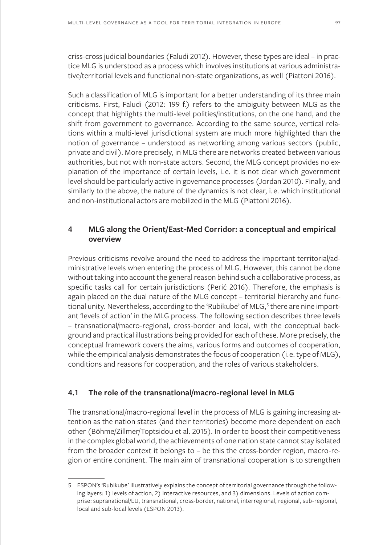criss-cross judicial boundaries (Faludi 2012). However, these types are ideal – in practice MLG is understood as a process which involves institutions at various administrative/territorial levels and functional non-state organizations, as well (Piattoni 2016).

Such a classification of MLG is important for a better understanding of its three main criticisms. First, Faludi (2012: 199 f.) refers to the ambiguity between MLG as the concept that highlights the multi-level polities/institutions, on the one hand, and the shift from government to governance. According to the same source, vertical relations within a multi-level jurisdictional system are much more highlighted than the notion of governance – understood as networking among various sectors (public, private and civil). More precisely, in MLG there are networks created between various authorities, but not with non-state actors. Second, the MLG concept provides no explanation of the importance of certain levels, i. e. it is not clear which government level should be particularly active in governance processes (Jordan 2010). Finally, and similarly to the above, the nature of the dynamics is not clear, i.e. which institutional and non-institutional actors are mobilized in the MLG (Piattoni 2016).

## **4 MLG along the Orient/East-Med Corridor: a conceptual and empirical overview**

Previous criticisms revolve around the need to address the important territorial/administrative levels when entering the process of MLG. However, this cannot be done without taking into account the general reason behind such a collaborative process, as specific tasks call for certain jurisdictions (Perić 2016). Therefore, the emphasis is again placed on the dual nature of the MLG concept – territorial hierarchy and functional unity. Nevertheless, according to the 'Rubikube' of MLG,<sup>5</sup> there are nine important 'levels of action' in the MLG process. The following section describes three levels – transnational/macro-regional, cross-border and local, with the conceptual background and practical illustrations being provided for each of these. More precisely, the conceptual framework covers the aims, various forms and outcomes of cooperation, while the empirical analysis demonstrates the focus of cooperation (i.e. type of MLG), conditions and reasons for cooperation, and the roles of various stakeholders.

### **4.1 The role of the transnational/macro-regional level in MLG**

The transnational/macro-regional level in the process of MLG is gaining increasing attention as the nation states (and their territories) become more dependent on each other (Böhme/Zillmer/Toptsidou et al. 2015). In order to boost their competitiveness in the complex global world, the achievements of one nation state cannot stay isolated from the broader context it belongs to – be this the cross-border region, macro-region or entire continent. The main aim of transnational cooperation is to strengthen

<sup>5</sup> ESPON's 'Rubikube' illustratively explains the concept of territorial governance through the following layers: 1) levels of action, 2) interactive resources, and 3) dimensions. Levels of action comprise: supranational/EU, transnational, cross-border, national, interregional, regional, sub-regional, local and sub-local levels (ESPON 2013).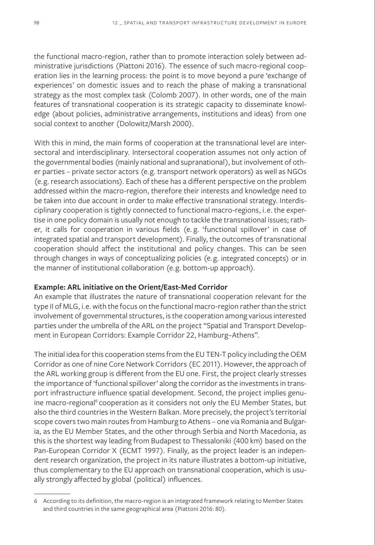the functional macro-region, rather than to promote interaction solely between administrative jurisdictions (Piattoni 2016). The essence of such macro-regional cooperation lies in the learning process: the point is to move beyond a pure 'exchange of experiences' on domestic issues and to reach the phase of making a transnational strategy as the most complex task (Colomb 2007). In other words, one of the main features of transnational cooperation is its strategic capacity to disseminate knowledge (about policies, administrative arrangements, institutions and ideas) from one social context to another (Dolowitz/Marsh 2000).

With this in mind, the main forms of cooperation at the transnational level are intersectoral and interdisciplinary. Intersectoral cooperation assumes not only action of the governmental bodies (mainly national and supranational), but involvement of other parties – private sector actors (e.g. transport network operators) as well as NGOs (e.g. research associations). Each of these has a different perspective on the problem addressed within the macro-region, therefore their interests and knowledge need to be taken into due account in order to make effective transnational strategy. Interdisciplinary cooperation is tightly connected to functional macro-regions, i.e. the expertise in one policy domain is usually not enough to tackle the transnational issues; rather, it calls for cooperation in various fields (e. g. 'functional spillover' in case of integrated spatial and transport development). Finally, the outcomes of transnational cooperation should affect the institutional and policy changes. This can be seen through changes in ways of conceptualizing policies (e.g. integrated concepts) or in the manner of institutional collaboration (e.g. bottom-up approach).

### **Example: ARL initiative on the Orient/East-Med Corridor**

An example that illustrates the nature of transnational cooperation relevant for the type II of MLG, i.e. with the focus on the functional macro-region rather than the strict involvement of governmental structures, is the cooperation among various interested parties under the umbrella of the ARL on the project "Spatial and Transport Development in European Corridors: Example Corridor 22, Hamburg–Athens".

The initial idea for this cooperation stems from the EU TEN-T policy including the OEM Corridor as one of nine Core Network Corridors (EC 2011). However, the approach of the ARL working group is different from the EU one. First, the project clearly stresses the importance of 'functional spillover' along the corridor as the investments in transport infrastructure influence spatial development. Second, the project implies genuine macro-regional<sup>6</sup> cooperation as it considers not only the EU Member States, but also the third countries in the Western Balkan. More precisely, the project's territorial scope covers two main routes from Hamburg to Athens – one via Romania and Bulgaria, as the EU Member States, and the other through Serbia and North Macedonia, as this is the shortest way leading from Budapest to Thessaloniki (400 km) based on the Pan-European Corridor X (ECMT 1997). Finally, as the project leader is an independent research organization, the project in its nature illustrates a bottom-up initiative, thus complementary to the EU approach on transnational cooperation, which is usually strongly affected by global (political) influences.

<sup>6</sup> According to its definition, the macro-region is an integrated framework relating to Member States and third countries in the same geographical area (Piattoni 2016: 80).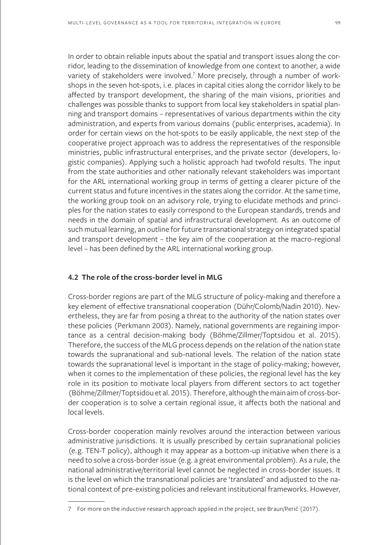In order to obtain reliable inputs about the spatial and transport issues along the corridor, leading to the dissemination of knowledge from one context to another, a wide variety of stakeholders were involved.<sup>7</sup> More precisely, through a number of workshops in the seven hot-spots, i.e. places in capital cities along the corridor likely to be affected by transport development, the sharing of the main visions, priorities and challenges was possible thanks to support from local key stakeholders in spatial planning and transport domains – representatives of various departments within the city administration, and experts from various domains (public enterprises, academia). In order for certain views on the hot-spots to be easily applicable, the next step of the cooperative project approach was to address the representatives of the responsible ministries, public infrastructural enterprises, and the private sector (developers, logistic companies). Applying such a holistic approach had twofold results. The input from the state authorities and other nationally relevant stakeholders was important for the ARL international working group in terms of getting a clearer picture of the current status and future incentives in the states along the corridor. At the same time, the working group took on an advisory role, trying to elucidate methods and principles for the nation states to easily correspond to the European standards, trends and needs in the domain of spatial and infrastructural development. As an outcome of such mutual learning, an outline for future transnational strategy on integrated spatial and transport development – the key aim of the cooperation at the macro-regional level – has been defined by the ARL international working group.

### **4.2 The role of the cross-border level in MLG**

Cross-border regions are part of the MLG structure of policy-making and therefore a key element of effective transnational cooperation (Dühr/Colomb/Nadin 2010). Nevertheless, they are far from posing a threat to the authority of the nation states over these policies (Perkmann 2003). Namely, national governments are regaining importance as a central decision-making body (Böhme/Zillmer/Toptsidou et al. 2015). Therefore, the success of the MLG process depends on the relation of the nation state towards the supranational and sub-national levels. The relation of the nation state towards the supranational level is important in the stage of policy-making; however, when it comes to the implementation of these policies, the regional level has the key role in its position to motivate local players from different sectors to act together (Böhme/Zillmer/Toptsidou et al. 2015). Therefore, although the main aim of cross-border cooperation is to solve a certain regional issue, it affects both the national and local levels.

Cross-border cooperation mainly revolves around the interaction between various administrative jurisdictions. It is usually prescribed by certain supranational policies (e.g. TEN-T policy), although it may appear as a bottom-up initiative when there is a need to solve a cross-border issue (e.g. a great environmental problem). As a rule, the national administrative/territorial level cannot be neglected in cross-border issues. It is the level on which the transnational policies are 'translated' and adjusted to the national context of pre-existing policies and relevant institutional frameworks. However,

<sup>7</sup> For more on the inductive research approach applied in the project, see Braun/Perić (2017).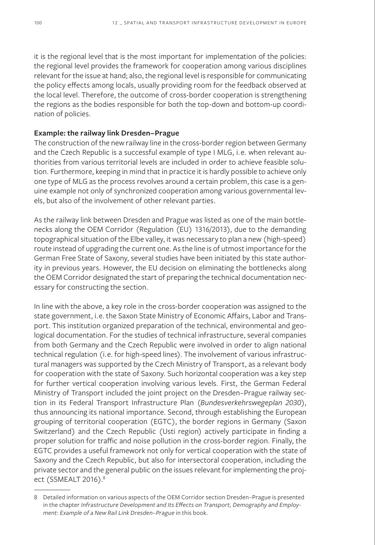it is the regional level that is the most important for implementation of the policies: the regional level provides the framework for cooperation among various disciplines relevant for the issue at hand; also, the regional level is responsible for communicating the policy effects among locals, usually providing room for the feedback observed at the local level. Therefore, the outcome of cross-border cooperation is strengthening the regions as the bodies responsible for both the top-down and bottom-up coordination of policies.

#### **Example: the railway link Dresden–Prague**

The construction of the new railway line in the cross-border region between Germany and the Czech Republic is a successful example of type I MLG, i.e. when relevant authorities from various territorial levels are included in order to achieve feasible solution. Furthermore, keeping in mind that in practice it is hardly possible to achieve only one type of MLG as the process revolves around a certain problem, this case is a genuine example not only of synchronized cooperation among various governmental levels, but also of the involvement of other relevant parties.

As the railway link between Dresden and Prague was listed as one of the main bottlenecks along the OEM Corridor (Regulation (EU) 1316/2013), due to the demanding topographical situation of the Elbe valley, it was necessary to plan a new (high-speed) route instead of upgrading the current one. As the line is of utmost importance for the German Free State of Saxony, several studies have been initiated by this state authority in previous years. However, the EU decision on eliminating the bottlenecks along the OEM Corridor designated the start of preparing the technical documentation necessary for constructing the section.

In line with the above, a key role in the cross-border cooperation was assigned to the state government, i.e. the Saxon State Ministry of Economic Affairs, Labor and Transport. This institution organized preparation of the technical, environmental and geological documentation. For the studies of technical infrastructure, several companies from both Germany and the Czech Republic were involved in order to align national technical regulation (i.e. for high-speed lines). The involvement of various infrastructural managers was supported by the Czech Ministry of Transport, as a relevant body for cooperation with the state of Saxony. Such horizontal cooperation was a key step for further vertical cooperation involving various levels. First, the German Federal Ministry of Transport included the joint project on the Dresden–Prague railway section in its Federal Transport Infrastructure Plan (*Bundesverkehrswegeplan 2030*), thus announcing its national importance. Second, through establishing the European grouping of territorial cooperation (EGTC), the border regions in Germany (Saxon Switzerland) and the Czech Republic (Usti region) actively participate in finding a proper solution for traffic and noise pollution in the cross-border region. Finally, the EGTC provides a useful framework not only for vertical cooperation with the state of Saxony and the Czech Republic, but also for intersectoral cooperation, including the private sector and the general public on the issues relevant for implementing the project (SSMEALT 2016).<sup>8</sup>

<sup>8</sup> Detailed information on various aspects of the OEM Corridor section Dresden–Prague is presented in the chapter *Infrastructure Development and Its Effects on Transport, Demography and Employment: Example of a New Rail Link Dresden–Prague* in this book.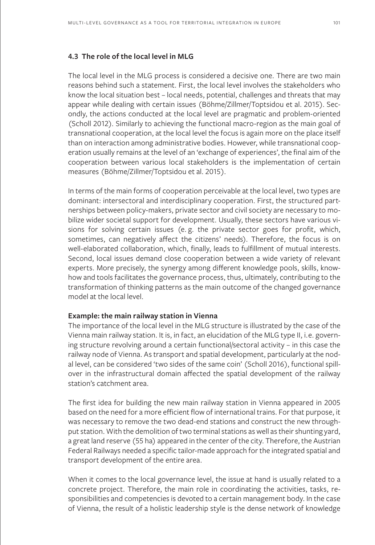### **4.3 The role of the local level in MLG**

The local level in the MLG process is considered a decisive one. There are two main reasons behind such a statement. First, the local level involves the stakeholders who know the local situation best – local needs, potential, challenges and threats that may appear while dealing with certain issues (Böhme/Zillmer/Toptsidou et al. 2015). Secondly, the actions conducted at the local level are pragmatic and problem-oriented (Scholl 2012). Similarly to achieving the functional macro-region as the main goal of transnational cooperation, at the local level the focus is again more on the place itself than on interaction among administrative bodies. However, while transnational cooperation usually remains at the level of an 'exchange of experiences', the final aim of the cooperation between various local stakeholders is the implementation of certain measures (Böhme/Zillmer/Toptsidou et al. 2015).

In terms of the main forms of cooperation perceivable at the local level, two types are dominant: intersectoral and interdisciplinary cooperation. First, the structured partnerships between policy-makers, private sector and civil society are necessary to mobilize wider societal support for development. Usually, these sectors have various visions for solving certain issues (e. g. the private sector goes for profit, which, sometimes, can negatively affect the citizens' needs). Therefore, the focus is on well-elaborated collaboration, which, finally, leads to fulfillment of mutual interests. Second, local issues demand close cooperation between a wide variety of relevant experts. More precisely, the synergy among different knowledge pools, skills, knowhow and tools facilitates the governance process, thus, ultimately, contributing to the transformation of thinking patterns as the main outcome of the changed governance model at the local level.

#### **Example: the main railway station in Vienna**

The importance of the local level in the MLG structure is illustrated by the case of the Vienna main railway station. It is, in fact, an elucidation of the MLG type II, i.e. governing structure revolving around a certain functional/sectoral activity – in this case the railway node of Vienna. As transport and spatial development, particularly at the nodal level, can be considered 'two sides of the same coin' (Scholl 2016), functional spillover in the infrastructural domain affected the spatial development of the railway station's catchment area.

The first idea for building the new main railway station in Vienna appeared in 2005 based on the need for a more efficient flow of international trains. For that purpose, it was necessary to remove the two dead-end stations and construct the new throughput station. With the demolition of two terminal stations as well as their shunting yard, a great land reserve (55 ha) appeared in the center of the city. Therefore, the Austrian Federal Railways needed a specific tailor-made approach for the integrated spatial and transport development of the entire area.

When it comes to the local governance level, the issue at hand is usually related to a concrete project. Therefore, the main role in coordinating the activities, tasks, responsibilities and competencies is devoted to a certain management body. In the case of Vienna, the result of a holistic leadership style is the dense network of knowledge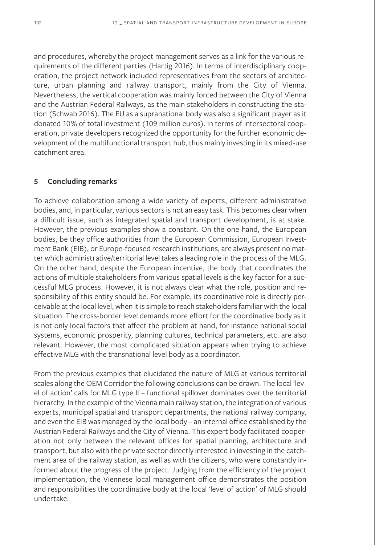and procedures, whereby the project management serves as a link for the various requirements of the different parties (Hartig 2016). In terms of interdisciplinary cooperation, the project network included representatives from the sectors of architecture, urban planning and railway transport, mainly from the City of Vienna. Nevertheless, the vertical cooperation was mainly forced between the City of Vienna and the Austrian Federal Railways, as the main stakeholders in constructing the station (Schwab 2016). The EU as a supranational body was also a significant player as it donated 10% of total investment (109 million euros). In terms of intersectoral cooperation, private developers recognized the opportunity for the further economic development of the multifunctional transport hub, thus mainly investing in its mixed-use catchment area.

### **5 Concluding remarks**

To achieve collaboration among a wide variety of experts, different administrative bodies, and, in particular, various sectors is not an easy task. This becomes clear when a difficult issue, such as integrated spatial and transport development, is at stake. However, the previous examples show a constant. On the one hand, the European bodies, be they office authorities from the European Commission, European Investment Bank (EIB), or Europe-focused research institutions, are always present no matter which administrative/territorial level takes a leading role in the process of the MLG. On the other hand, despite the European incentive, the body that coordinates the actions of multiple stakeholders from various spatial levels is the key factor for a successful MLG process. However, it is not always clear what the role, position and responsibility of this entity should be. For example, its coordinative role is directly perceivable at the local level, when it is simple to reach stakeholders familiar with the local situation. The cross-border level demands more effort for the coordinative body as it is not only local factors that affect the problem at hand, for instance national social systems, economic prosperity, planning cultures, technical parameters, etc. are also relevant. However, the most complicated situation appears when trying to achieve effective MLG with the transnational level body as a coordinator.

From the previous examples that elucidated the nature of MLG at various territorial scales along the OEM Corridor the following conclusions can be drawn. The local 'level of action' calls for MLG type II – functional spillover dominates over the territorial hierarchy. In the example of the Vienna main railway station, the integration of various experts, municipal spatial and transport departments, the national railway company, and even the EIB was managed by the local body – an internal office established by the Austrian Federal Railways and the City of Vienna. This expert body facilitated cooperation not only between the relevant offices for spatial planning, architecture and transport, but also with the private sector directly interested in investing in the catchment area of the railway station, as well as with the citizens, who were constantly informed about the progress of the project. Judging from the efficiency of the project implementation, the Viennese local management office demonstrates the position and responsibilities the coordinative body at the local 'level of action' of MLG should undertake.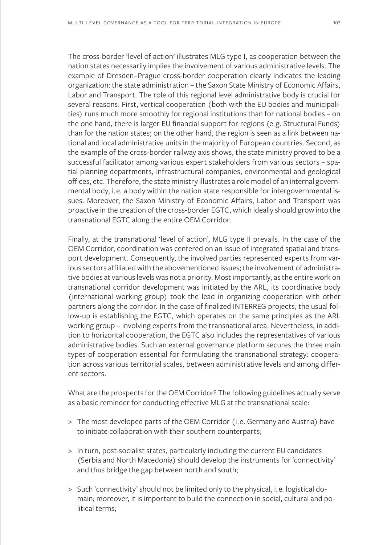The cross-border 'level of action' illustrates MLG type I, as cooperation between the nation states necessarily implies the involvement of various administrative levels. The example of Dresden–Prague cross-border cooperation clearly indicates the leading organization: the state administration – the Saxon State Ministry of Economic Affairs, Labor and Transport. The role of this regional level administrative body is crucial for several reasons. First, vertical cooperation (both with the EU bodies and municipalities) runs much more smoothly for regional institutions than for national bodies – on the one hand, there is larger EU financial support for regions (e.g. Structural Funds) than for the nation states; on the other hand, the region is seen as a link between national and local administrative units in the majority of European countries. Second, as the example of the cross-border railway axis shows, the state ministry proved to be a successful facilitator among various expert stakeholders from various sectors – spatial planning departments, infrastructural companies, environmental and geological offices, etc. Therefore, the state ministry illustrates a role model of an internal governmental body, i.e. a body within the nation state responsible for intergovernmental issues. Moreover, the Saxon Ministry of Economic Affairs, Labor and Transport was proactive in the creation of the cross-border EGTC, which ideally should grow into the transnational EGTC along the entire OEM Corridor.

Finally, at the transnational 'level of action', MLG type II prevails. In the case of the OEM Corridor, coordination was centered on an issue of integrated spatial and transport development. Consequently, the involved parties represented experts from various sectors affiliated with the abovementioned issues; the involvement of administrative bodies at various levels was not a priority. Most importantly, as the entire work on transnational corridor development was initiated by the ARL, its coordinative body (international working group) took the lead in organizing cooperation with other partners along the corridor. In the case of finalized INTERREG projects, the usual follow-up is establishing the EGTC, which operates on the same principles as the ARL working group – involving experts from the transnational area. Nevertheless, in addition to horizontal cooperation, the EGTC also includes the representatives of various administrative bodies. Such an external governance platform secures the three main types of cooperation essential for formulating the transnational strategy: cooperation across various territorial scales, between administrative levels and among different sectors.

What are the prospects for the OEM Corridor? The following guidelines actually serve as a basic reminder for conducting effective MLG at the transnational scale:

- > The most developed parts of the OEM Corridor (i.e. Germany and Austria) have to initiate collaboration with their southern counterparts;
- > In turn, post-socialist states, particularly including the current EU candidates (Serbia and North Macedonia) should develop the instruments for 'connectivity' and thus bridge the gap between north and south;
- > Such 'connectivity' should not be limited only to the physical, i.e. logistical domain; moreover, it is important to build the connection in social, cultural and political terms;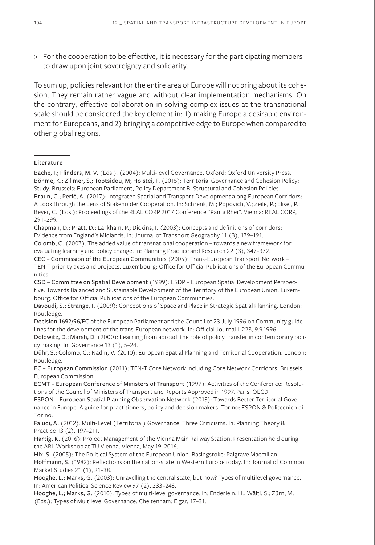> For the cooperation to be effective, it is necessary for the participating members to draw upon joint sovereignty and solidarity.

To sum up, policies relevant for the entire area of Europe will not bring about its cohesion. They remain rather vague and without clear implementation mechanisms. On the contrary, effective collaboration in solving complex issues at the transnational scale should be considered the key element in: 1) making Europe a desirable environment for Europeans, and 2) bringing a competitive edge to Europe when compared to other global regions.

#### **Literature**

Bache, I.; Flinders, M. V. (Eds.). (2004): Multi-level Governance. Oxford: Oxford University Press. Böhme, K.; Zillmer, S.; Toptsidou, M; Holstei, F. (2015): Territorial Governance and Cohesion Policy: Study. Brussels: European Parliament, Policy Department B: Structural and Cohesion Policies. Braun, C.; Perić, A. (2017): Integrated Spatial and Transport Development along European Corridors: A Look through the Lens of Stakeholder Cooperation. In: Schrenk, M.; Popovich, V.; Zeile, P.; Elisei, P.; Beyer, C. (Eds.): Proceedings of the REAL CORP 2017 Conference "Panta Rhei". Vienna: REAL CORP, 291–299.

Chapman, D.; Pratt, D.; Larkham, P.; Dickins, I. (2003): Concepts and definitions of corridors: Evidence from England's Midlands. In: Journal of Transport Geography 11 (3), 179–191.

Colomb, C. (2007). The added value of transnational cooperation – towards a new framework for evaluating learning and policy change. In: Planning Practice and Research 22 (3), 347–372.

CEC – Commission of the European Communities (2005): Trans-European Transport Network – TEN-T priority axes and projects. Luxembourg: Office for Official Publications of the European Communities.

CSD – Committee on Spatial Development (1999): ESDP – European Spatial Development Perspective. Towards Balanced and Sustainable Development of the Territory of the European Union. Luxembourg: Office for Official Publications of the European Communities.

Decision 1692/96/EC of the European Parliament and the Council of 23 July 1996 on Community guidelines for the development of the trans-European network. In: Official Journal L 228, 9.9.1996.

Dolowitz, D.; Marsh, D. (2000): Learning from abroad: the role of policy transfer in contemporary policy making. In: Governance 13 (1), 5–24.

Dühr, S.; Colomb, C.; Nadin, V. (2010): European Spatial Planning and Territorial Cooperation. London: Routledge.

EC – European Commission (2011): TEN-T Core Network Including Core Network Corridors. Brussels: European Commission.

ECMT – European Conference of Ministers of Transport (1997): Activities of the Conference: Resolutions of the Council of Ministers of Transport and Reports Approved in 1997. Paris: OECD.

ESPON – European Spatial Planning Observation Network (2013): Towards Better Territorial Governance in Europe. A guide for practitioners, policy and decision makers. Torino: ESPON & Politecnico di Torino.

Faludi, A. (2012): Multi-Level (Territorial) Governance: Three Criticisms. In: Planning Theory & Practice 13 (2), 197–211.

Hartig, K. (2016): Project Management of the Vienna Main Railway Station. Presentation held during the ARL Workshop at TU Vienna. Vienna, May 19, 2016.

Hix, S. (2005): The Political System of the European Union. Basingstoke: Palgrave Macmillan. Hoffmann, S. (1982): Reflections on the nation-state in Western Europe today. In: Journal of Common Market Studies 21 (1), 21–38.

Hooghe, L.; Marks, G. (2003): Unravelling the central state, but how? Types of multilevel governance. In: American Political Science Review 97 (2), 233–243.

Hooghe, L.; Marks, G. (2010): Types of multi-level governance. In: Enderlein, H., Wälti, S.; Zürn, M. (Eds.): Types of Multilevel Governance. Cheltenham: Elgar, 17–31.

Davoudi, S.; Strange, I. (2009): Conceptions of Space and Place in Strategic Spatial Planning. London: Routledge.